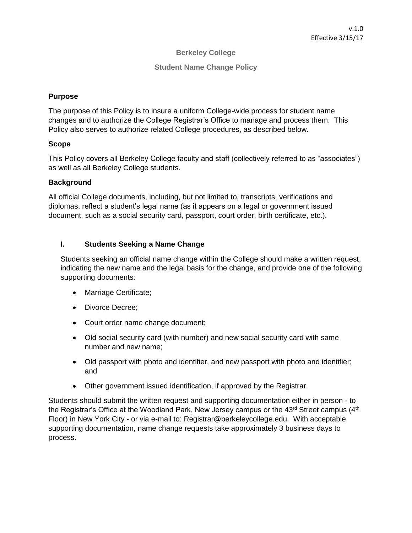## **Berkeley College**

### **Student Name Change Policy**

## **Purpose**

The purpose of this Policy is to insure a uniform College-wide process for student name changes and to authorize the College Registrar's Office to manage and process them. This Policy also serves to authorize related College procedures, as described below.

#### **Scope**

This Policy covers all Berkeley College faculty and staff (collectively referred to as "associates") as well as all Berkeley College students.

#### **Background**

All official College documents, including, but not limited to, transcripts, verifications and diplomas, reflect a student's legal name (as it appears on a legal or government issued document, such as a social security card, passport, court order, birth certificate, etc.).

# **I. Students Seeking a Name Change**

Students seeking an official name change within the College should make a written request, indicating the new name and the legal basis for the change, and provide one of the following supporting documents:

- Marriage Certificate;
- Divorce Decree:
- Court order name change document;
- Old social security card (with number) and new social security card with same number and new name;
- Old passport with photo and identifier, and new passport with photo and identifier; and
- Other government issued identification, if approved by the Registrar.

Students should submit the written request and supporting documentation either in person - to the Registrar's Office at the Woodland Park, New Jersey campus or the  $43<sup>rd</sup>$  Street campus  $(4<sup>th</sup>$ Floor) in New York City - or via e-mail to: Registrar@berkeleycollege.edu. With acceptable supporting documentation, name change requests take approximately 3 business days to process.